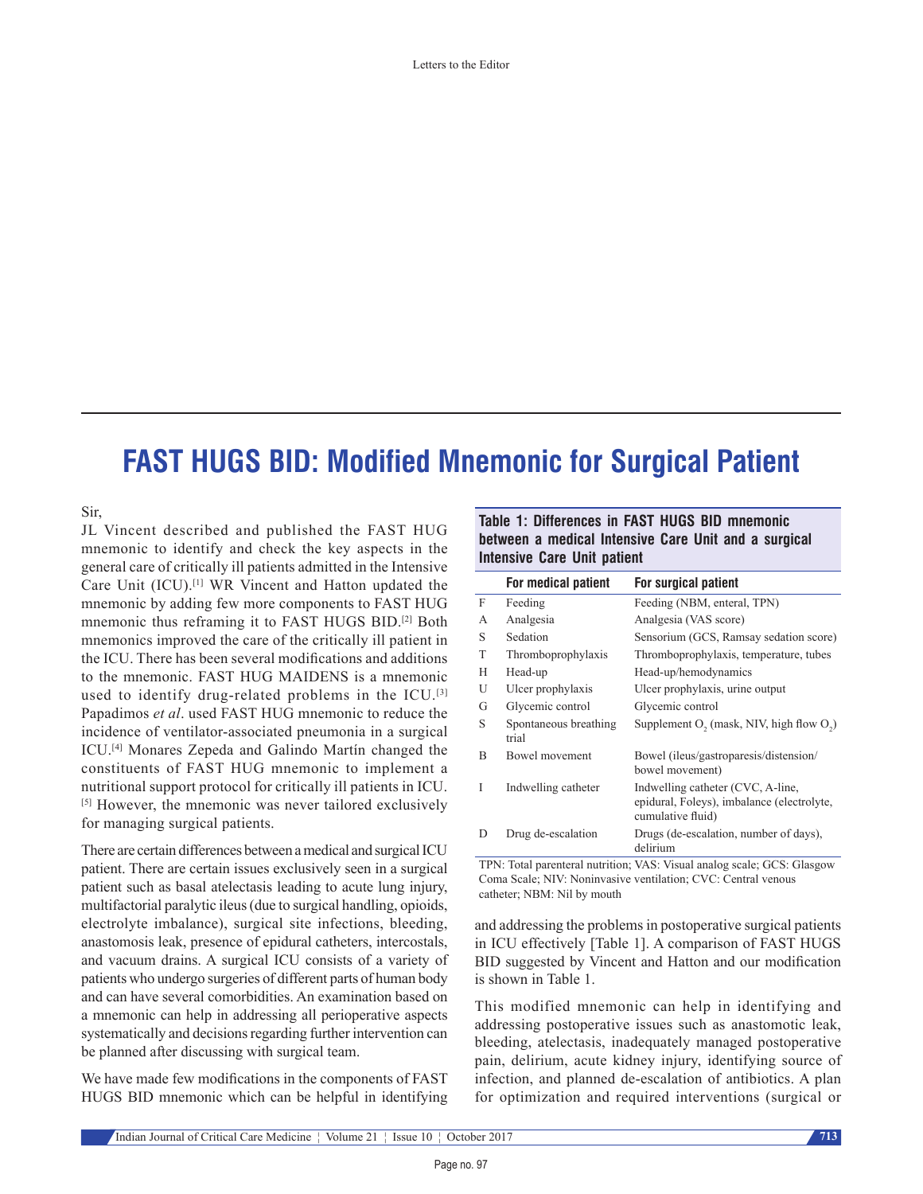# **FAST HUGS BID: Modified Mnemonic for Surgical Patient**

Sir,

JL Vincent described and published the FAST HUG mnemonic to identify and check the key aspects in the general care of critically ill patients admitted in the Intensive Care Unit (ICU).[1] WR Vincent and Hatton updated the mnemonic by adding few more components to FAST HUG mnemonic thus reframing it to FAST HUGS BID.[2] Both mnemonics improved the care of the critically ill patient in the ICU. There has been several modifications and additions to the mnemonic. FAST HUG MAIDENS is a mnemonic used to identify drug-related problems in the ICU.<sup>[3]</sup> Papadimos *et al*. used FAST HUG mnemonic to reduce the incidence of ventilator-associated pneumonia in a surgical ICU.[4] Monares Zepeda and Galindo Martín changed the constituents of FAST HUG mnemonic to implement a nutritional support protocol for critically ill patients in ICU. [5] However, the mnemonic was never tailored exclusively for managing surgical patients.

There are certain differences between a medical and surgical ICU patient. There are certain issues exclusively seen in a surgical patient such as basal atelectasis leading to acute lung injury, multifactorial paralytic ileus(due to surgical handling, opioids, electrolyte imbalance), surgical site infections, bleeding, anastomosis leak, presence of epidural catheters, intercostals, and vacuum drains. A surgical ICU consists of a variety of patients who undergo surgeries of different parts of human body and can have several comorbidities. An examination based on a mnemonic can help in addressing all perioperative aspects systematically and decisions regarding further intervention can be planned after discussing with surgical team.

We have made few modifications in the components of FAST HUGS BID mnemonic which can be helpful in identifying

**Table 1: Differences in FAST HUGS BID mnemonic between a medical Intensive Care Unit and a surgical Intensive Care Unit patient**

|   | For medical patient            | For surgical patient                                                                                 |
|---|--------------------------------|------------------------------------------------------------------------------------------------------|
| F | Feeding                        | Feeding (NBM, enteral, TPN)                                                                          |
| А | Analgesia                      | Analgesia (VAS score)                                                                                |
| S | Sedation                       | Sensorium (GCS, Ramsay sedation score)                                                               |
| T | Thromboprophylaxis             | Thromboprophylaxis, temperature, tubes                                                               |
| H | Head-up                        | Head-up/hemodynamics                                                                                 |
| U | Ulcer prophylaxis              | Ulcer prophylaxis, urine output                                                                      |
| G | Glycemic control               | Glycemic control                                                                                     |
| S | Spontaneous breathing<br>trial | Supplement $O_2$ (mask, NIV, high flow $O_2$ )                                                       |
| B | Bowel movement                 | Bowel (ileus/gastroparesis/distension/<br>bowel movement)                                            |
| T | Indwelling catheter            | Indwelling catheter (CVC, A-line,<br>epidural, Foleys), imbalance (electrolyte,<br>cumulative fluid) |
| D | Drug de-escalation             | Drugs (de-escalation, number of days),<br>delirium                                                   |

TPN: Total parenteral nutrition; VAS: Visual analog scale; GCS: Glasgow Coma Scale; NIV: Noninvasive ventilation; CVC: Central venous catheter; NBM: Nil by mouth

and addressing the problems in postoperative surgical patients in ICU effectively [Table 1]. A comparison of FAST HUGS BID suggested by Vincent and Hatton and our modification is shown in Table 1.

This modified mnemonic can help in identifying and addressing postoperative issues such as anastomotic leak, bleeding, atelectasis, inadequately managed postoperative pain, delirium, acute kidney injury, identifying source of infection, and planned de‑escalation of antibiotics. A plan for optimization and required interventions (surgical or